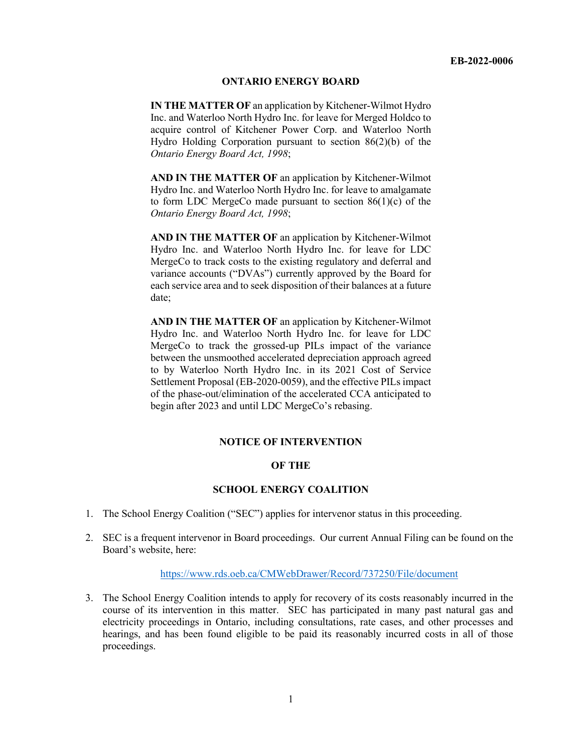### **ONTARIO ENERGY BOARD**

**IN THE MATTER OF** an application by Kitchener-Wilmot Hydro Inc. and Waterloo North Hydro Inc. for leave for Merged Holdco to acquire control of Kitchener Power Corp. and Waterloo North Hydro Holding Corporation pursuant to section 86(2)(b) of the *Ontario Energy Board Act, 1998*;

**AND IN THE MATTER OF** an application by Kitchener-Wilmot Hydro Inc. and Waterloo North Hydro Inc. for leave to amalgamate to form LDC MergeCo made pursuant to section 86(1)(c) of the *Ontario Energy Board Act, 1998*;

**AND IN THE MATTER OF** an application by Kitchener-Wilmot Hydro Inc. and Waterloo North Hydro Inc. for leave for LDC MergeCo to track costs to the existing regulatory and deferral and variance accounts ("DVAs") currently approved by the Board for each service area and to seek disposition of their balances at a future date;

**AND IN THE MATTER OF** an application by Kitchener-Wilmot Hydro Inc. and Waterloo North Hydro Inc. for leave for LDC MergeCo to track the grossed-up PILs impact of the variance between the unsmoothed accelerated depreciation approach agreed to by Waterloo North Hydro Inc. in its 2021 Cost of Service Settlement Proposal (EB-2020-0059), and the effective PILs impact of the phase-out/elimination of the accelerated CCA anticipated to begin after 2023 and until LDC MergeCo's rebasing.

### **NOTICE OF INTERVENTION**

## **OF THE**

### **SCHOOL ENERGY COALITION**

- 1. The School Energy Coalition ("SEC") applies for intervenor status in this proceeding.
- 2. SEC is a frequent intervenor in Board proceedings. Our current Annual Filing can be found on the Board's website, here:

### https://www.rds.oeb.ca/CMWebDrawer/Record/737250/File/document

3. The School Energy Coalition intends to apply for recovery of its costs reasonably incurred in the course of its intervention in this matter. SEC has participated in many past natural gas and electricity proceedings in Ontario, including consultations, rate cases, and other processes and hearings, and has been found eligible to be paid its reasonably incurred costs in all of those proceedings.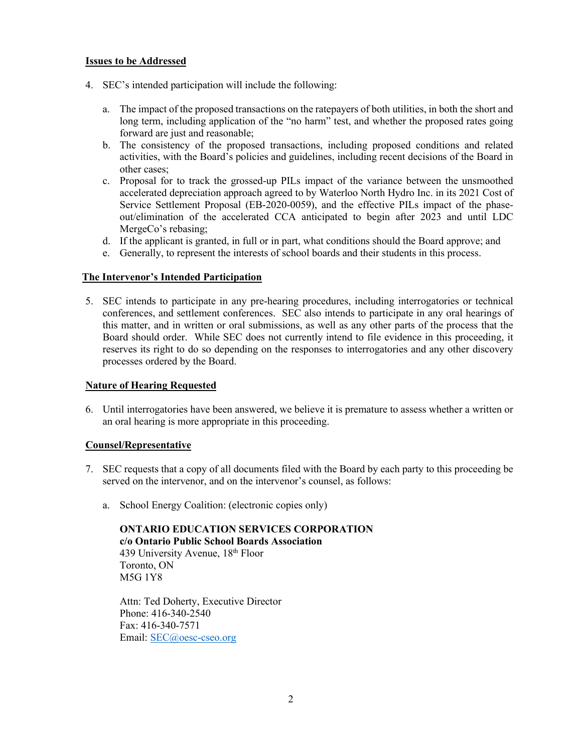## **Issues to be Addressed**

- 4. SEC's intended participation will include the following:
	- a. The impact of the proposed transactions on the ratepayers of both utilities, in both the short and long term, including application of the "no harm" test, and whether the proposed rates going forward are just and reasonable;
	- b. The consistency of the proposed transactions, including proposed conditions and related activities, with the Board's policies and guidelines, including recent decisions of the Board in other cases;
	- c. Proposal for to track the grossed-up PILs impact of the variance between the unsmoothed accelerated depreciation approach agreed to by Waterloo North Hydro Inc. in its 2021 Cost of Service Settlement Proposal (EB-2020-0059), and the effective PILs impact of the phaseout/elimination of the accelerated CCA anticipated to begin after 2023 and until LDC MergeCo's rebasing;
	- d. If the applicant is granted, in full or in part, what conditions should the Board approve; and
	- e. Generally, to represent the interests of school boards and their students in this process.

# **The Intervenor's Intended Participation**

5. SEC intends to participate in any pre-hearing procedures, including interrogatories or technical conferences, and settlement conferences. SEC also intends to participate in any oral hearings of this matter, and in written or oral submissions, as well as any other parts of the process that the Board should order. While SEC does not currently intend to file evidence in this proceeding, it reserves its right to do so depending on the responses to interrogatories and any other discovery processes ordered by the Board.

### **Nature of Hearing Requested**

6. Until interrogatories have been answered, we believe it is premature to assess whether a written or an oral hearing is more appropriate in this proceeding.

### **Counsel/Representative**

- 7. SEC requests that a copy of all documents filed with the Board by each party to this proceeding be served on the intervenor, and on the intervenor's counsel, as follows:
	- a. School Energy Coalition: (electronic copies only)

**ONTARIO EDUCATION SERVICES CORPORATION c/o Ontario Public School Boards Association** 439 University Avenue,  $18<sup>th</sup>$  Floor Toronto, ON M5G 1Y8

Attn: Ted Doherty, Executive Director Phone: 416-340-2540 Fax: 416-340-7571 Email: SEC@oesc-cseo.org